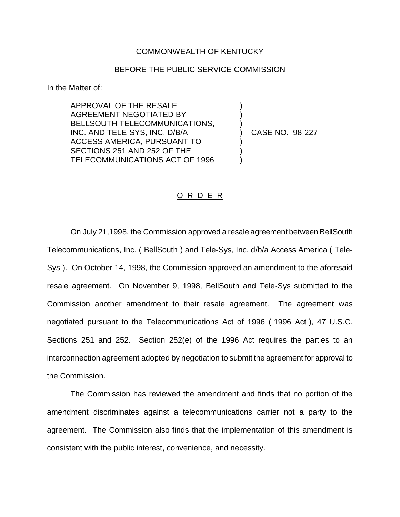## COMMONWEALTH OF KENTUCKY

## BEFORE THE PUBLIC SERVICE COMMISSION

) )

)<br>)

) ) )

In the Matter of:

APPROVAL OF THE RESALE AGREEMENT NEGOTIATED BY BELLSOUTH TELECOMMUNICATIONS, INC. AND TELE-SYS, INC. D/B/A ACCESS AMERICA, PURSUANT TO SECTIONS 251 AND 252 OF THE TELECOMMUNICATIONS ACT OF 1996

) CASE NO. 98-227

## O R D E R

On July 21,1998, the Commission approved a resale agreement between BellSouth Telecommunications, Inc. ( BellSouth ) and Tele-Sys, Inc. d/b/a Access America ( Tele-Sys ). On October 14, 1998, the Commission approved an amendment to the aforesaid resale agreement. On November 9, 1998, BellSouth and Tele-Sys submitted to the Commission another amendment to their resale agreement. The agreement was negotiated pursuant to the Telecommunications Act of 1996 ( 1996 Act ), 47 U.S.C. Sections 251 and 252. Section 252(e) of the 1996 Act requires the parties to an interconnection agreement adopted by negotiation to submit the agreement for approval to the Commission.

The Commission has reviewed the amendment and finds that no portion of the amendment discriminates against a telecommunications carrier not a party to the agreement. The Commission also finds that the implementation of this amendment is consistent with the public interest, convenience, and necessity.